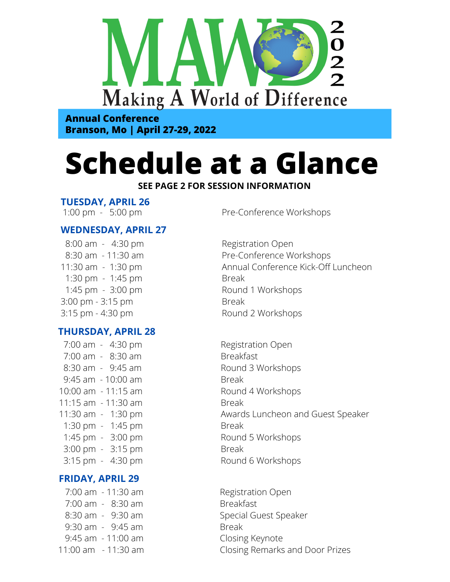

**Annual Conference Branson, Mo | April 27-29, 2022**

# **Schedule at a Glance**

#### **SEE PAGE 2 FOR SESSION INFORMATION**

## **TUESDAY, APRIL 26**

## **WEDNESDAY, APRIL 27**

 8:00 am - 4:30 pm 8:30 am - 11:30 am 11:30 am - 1:30 pm 1:30 pm - 1:45 pm 1:45 pm - 3:00 pm 3:00 pm - 3:15 pm 3:15 pm - 4:30 pm

## **THURSDAY, APRIL 28**

 7:00 am - 4:30 pm 7:00 am - 8:30 am 8:30 am - 9:45 am 9:45 am - 10:00 am 10:00 am - 11:15 am 11:15 am - 11:30 am 11:30 am - 1:30 pm 1:30 pm - 1:45 pm 1:45 pm - 3:00 pm 3:00 pm - 3:15 pm 3:15 pm - 4:30 pm

## **FRIDAY, APRIL 29**

 7:00 am - 11:30 am 7:00 am - 8:30 am 8:30 am - 9:30 am 9:30 am - 9:45 am 9:45 am - 11:00 am 11:00 am - 11:30 am

1:00 pm - 5:00 pm

Registration Open Pre-Conference Workshops Annual Conference Kick-Off Luncheon Break Round 1 Workshops Break Round 2 Workshops

Registration Open Breakfast Round 3 Workshops Break Round 4 Workshops Break Awards Luncheon and Guest Speaker Break Round 5 Workshops Break Round 6 Workshops

Registration Open Breakfast Special Guest Speaker Break Closing Keynote Closing Remarks and Door Prizes